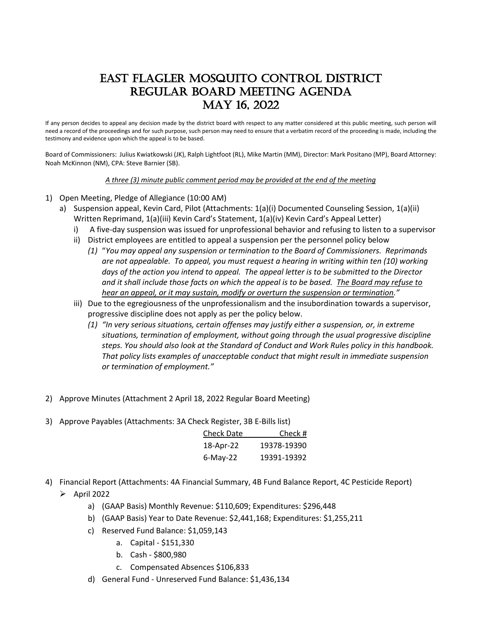## East Flagler mosquito control district Regular board meeting agenda may 16, 2022

If any person decides to appeal any decision made by the district board with respect to any matter considered at this public meeting, such person will need a record of the proceedings and for such purpose, such person may need to ensure that a verbatim record of the proceeding is made, including the testimony and evidence upon which the appeal is to be based.

Board of Commissioners: Julius Kwiatkowski (JK), Ralph Lightfoot (RL), Mike Martin (MM), Director: Mark Positano (MP), Board Attorney: Noah McKinnon (NM), CPA: Steve Barnier (SB).

*A three (3) minute public comment period may be provided at the end of the meeting*

- 1) Open Meeting, Pledge of Allegiance (10:00 AM)
	- a) Suspension appeal, Kevin Card, Pilot (Attachments: 1(a)(i) Documented Counseling Session, 1(a)(ii) Written Reprimand, 1(a)(iii) Kevin Card's Statement, 1(a)(iv) Kevin Card's Appeal Letter)
		- i) A five-day suspension was issued for unprofessional behavior and refusing to listen to a supervisor
		- ii) District employees are entitled to appeal a suspension per the personnel policy below
			- *(1)* "*You may appeal any suspension or termination to the Board of Commissioners. Reprimands are not appealable. To appeal, you must request a hearing in writing within ten (10) working days of the action you intend to appeal. The appeal letter is to be submitted to the Director and it shall include those facts on which the appeal is to be based. The Board may refuse to hear an appeal, or it may sustain, modify or overturn the suspension or termination."*
		- iii) Due to the egregiousness of the unprofessionalism and the insubordination towards a supervisor, progressive discipline does not apply as per the policy below.
			- *(1) "In very serious situations, certain offenses may justify either a suspension, or, in extreme situations, termination of employment, without going through the usual progressive discipline steps. You should also look at the Standard of Conduct and Work Rules policy in this handbook. That policy lists examples of unacceptable conduct that might result in immediate suspension or termination of employment."*
- 2) Approve Minutes (Attachment 2 April 18, 2022 Regular Board Meeting)
- 3) Approve Payables (Attachments: 3A Check Register, 3B E-Bills list)

| <b>Check Date</b> | Check #     |
|-------------------|-------------|
| 18-Apr-22         | 19378-19390 |
| $6$ -May-22       | 19391-19392 |

- 4) Financial Report (Attachments: 4A Financial Summary, 4B Fund Balance Report, 4C Pesticide Report)  $\triangleright$  April 2022
	- a) (GAAP Basis) Monthly Revenue: \$110,609; Expenditures: \$296,448
	- b) (GAAP Basis) Year to Date Revenue: \$2,441,168; Expenditures: \$1,255,211
	- c) Reserved Fund Balance: \$1,059,143
		- a. Capital \$151,330
		- b. Cash \$800,980
		- c. Compensated Absences \$106,833
	- d) General Fund Unreserved Fund Balance: \$1,436,134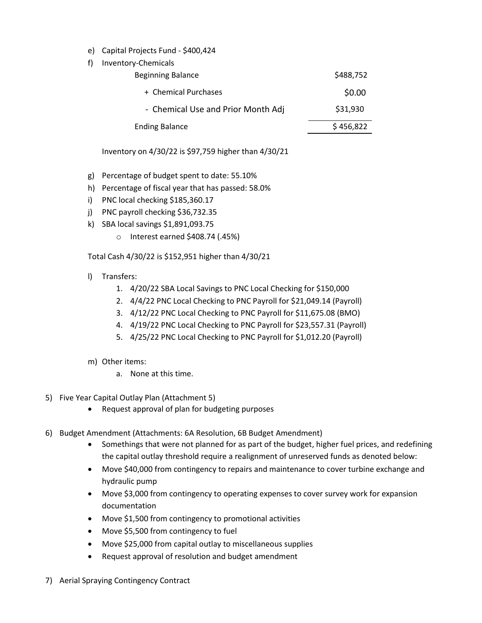- e) Capital Projects Fund \$400,424
- f) Inventory-Chemicals

| <b>Beginning Balance</b>           | \$488,752 |
|------------------------------------|-----------|
| + Chemical Purchases               | \$0.00    |
| - Chemical Use and Prior Month Adj | \$31,930  |
| <b>Ending Balance</b>              | \$456,822 |

Inventory on 4/30/22 is \$97,759 higher than 4/30/21

- g) Percentage of budget spent to date: 55.10%
- h) Percentage of fiscal year that has passed: 58.0%
- i) PNC local checking \$185,360.17
- j) PNC payroll checking \$36,732.35
- k) SBA local savings \$1,891,093.75
	- o Interest earned \$408.74 (.45%)

Total Cash 4/30/22 is \$152,951 higher than 4/30/21

- l) Transfers:
	- 1. 4/20/22 SBA Local Savings to PNC Local Checking for \$150,000
	- 2. 4/4/22 PNC Local Checking to PNC Payroll for \$21,049.14 (Payroll)
	- 3. 4/12/22 PNC Local Checking to PNC Payroll for \$11,675.08 (BMO)
	- 4. 4/19/22 PNC Local Checking to PNC Payroll for \$23,557.31 (Payroll)
	- 5. 4/25/22 PNC Local Checking to PNC Payroll for \$1,012.20 (Payroll)
- m) Other items:
	- a. None at this time.
- 5) Five Year Capital Outlay Plan (Attachment 5)
	- Request approval of plan for budgeting purposes
- 6) Budget Amendment (Attachments: 6A Resolution, 6B Budget Amendment)
	- Somethings that were not planned for as part of the budget, higher fuel prices, and redefining the capital outlay threshold require a realignment of unreserved funds as denoted below:
	- Move \$40,000 from contingency to repairs and maintenance to cover turbine exchange and hydraulic pump
	- Move \$3,000 from contingency to operating expenses to cover survey work for expansion documentation
	- Move \$1,500 from contingency to promotional activities
	- Move \$5,500 from contingency to fuel
	- Move \$25,000 from capital outlay to miscellaneous supplies
	- Request approval of resolution and budget amendment
- 7) Aerial Spraying Contingency Contract